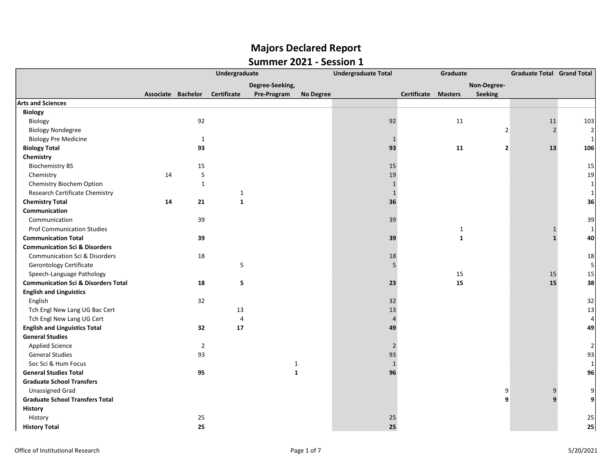| Degree-Seeking,<br>Non-Degree-<br>Pre-Program<br>Seeking<br>Associate Bachelor<br>Certificate<br><b>No Degree</b><br>Certificate<br><b>Masters</b><br><b>Biology</b><br>92<br>92<br>11<br>11<br>Biology<br>103<br>$\overline{2}$<br><b>Biology Nondegree</b><br>$\overline{2}$<br>2<br><b>Biology Pre Medicine</b><br>$\mathbf{1}$<br>$\mathbf{1}$<br>93<br>93<br>11<br><b>Biology Total</b><br>$\overline{2}$<br>13<br>106<br>Chemistry<br><b>Biochemistry BS</b><br>15<br>15<br>15<br>5<br>19<br>19<br>Chemistry<br>14<br>$\mathbf{1}$<br>Chemistry Biochem Option<br>$\mathbf 1$<br>$\mathbf 1$<br>Research Certificate Chemistry<br>$\mathbf{1}$<br>$\mathbf{1}$<br>$\mathbf{1}$<br>$\mathbf{1}$<br>36<br>36<br><b>Chemistry Total</b><br>14<br>21<br>Communication<br>Communication<br>39<br>39<br>39<br><b>Prof Communication Studies</b><br>$\mathbf{1}$<br>1<br>1<br>$\mathbf 1$<br>40<br><b>Communication Total</b><br>39<br>39<br>$\mathbf{1}$<br><b>Communication Sci &amp; Disorders</b><br><b>Communication Sci &amp; Disorders</b><br>18<br>18<br>18<br>5<br><b>Gerontology Certificate</b><br>5<br>5<br>Speech-Language Pathology<br>15<br>15<br>15<br>15<br>38<br><b>Communication Sci &amp; Disorders Total</b><br>5<br>15<br>23<br>18<br><b>English and Linguistics</b><br>English<br>32<br>$32\,$<br>32<br>Tch Engl New Lang UG Bac Cert<br>13<br>13<br>13<br>Tch Engl New Lang UG Cert<br>$\overline{4}$<br>$\overline{4}$<br>4<br><b>English and Linguistics Total</b><br>17<br>49<br>49<br>32<br><b>General Studies</b><br><b>Applied Science</b><br>$\overline{2}$<br>$\overline{2}$<br>2<br><b>General Studies</b><br>93<br>93<br>93<br>Soc Sci & Hum Focus<br>$\mathbf{1}$<br>1<br>1<br>$\mathbf{1}$ |                              | Undergraduate |    |  |  | <b>Undergraduate Total</b><br>Graduate |  |  |  | <b>Graduate Total Grand Total</b> |    |
|-------------------------------------------------------------------------------------------------------------------------------------------------------------------------------------------------------------------------------------------------------------------------------------------------------------------------------------------------------------------------------------------------------------------------------------------------------------------------------------------------------------------------------------------------------------------------------------------------------------------------------------------------------------------------------------------------------------------------------------------------------------------------------------------------------------------------------------------------------------------------------------------------------------------------------------------------------------------------------------------------------------------------------------------------------------------------------------------------------------------------------------------------------------------------------------------------------------------------------------------------------------------------------------------------------------------------------------------------------------------------------------------------------------------------------------------------------------------------------------------------------------------------------------------------------------------------------------------------------------------------------------------------------------------------------------------------------------------------------|------------------------------|---------------|----|--|--|----------------------------------------|--|--|--|-----------------------------------|----|
|                                                                                                                                                                                                                                                                                                                                                                                                                                                                                                                                                                                                                                                                                                                                                                                                                                                                                                                                                                                                                                                                                                                                                                                                                                                                                                                                                                                                                                                                                                                                                                                                                                                                                                                               |                              |               |    |  |  |                                        |  |  |  |                                   |    |
|                                                                                                                                                                                                                                                                                                                                                                                                                                                                                                                                                                                                                                                                                                                                                                                                                                                                                                                                                                                                                                                                                                                                                                                                                                                                                                                                                                                                                                                                                                                                                                                                                                                                                                                               |                              |               |    |  |  |                                        |  |  |  |                                   |    |
|                                                                                                                                                                                                                                                                                                                                                                                                                                                                                                                                                                                                                                                                                                                                                                                                                                                                                                                                                                                                                                                                                                                                                                                                                                                                                                                                                                                                                                                                                                                                                                                                                                                                                                                               | <b>Arts and Sciences</b>     |               |    |  |  |                                        |  |  |  |                                   |    |
|                                                                                                                                                                                                                                                                                                                                                                                                                                                                                                                                                                                                                                                                                                                                                                                                                                                                                                                                                                                                                                                                                                                                                                                                                                                                                                                                                                                                                                                                                                                                                                                                                                                                                                                               |                              |               |    |  |  |                                        |  |  |  |                                   |    |
|                                                                                                                                                                                                                                                                                                                                                                                                                                                                                                                                                                                                                                                                                                                                                                                                                                                                                                                                                                                                                                                                                                                                                                                                                                                                                                                                                                                                                                                                                                                                                                                                                                                                                                                               |                              |               |    |  |  |                                        |  |  |  |                                   |    |
|                                                                                                                                                                                                                                                                                                                                                                                                                                                                                                                                                                                                                                                                                                                                                                                                                                                                                                                                                                                                                                                                                                                                                                                                                                                                                                                                                                                                                                                                                                                                                                                                                                                                                                                               |                              |               |    |  |  |                                        |  |  |  |                                   |    |
|                                                                                                                                                                                                                                                                                                                                                                                                                                                                                                                                                                                                                                                                                                                                                                                                                                                                                                                                                                                                                                                                                                                                                                                                                                                                                                                                                                                                                                                                                                                                                                                                                                                                                                                               |                              |               |    |  |  |                                        |  |  |  |                                   |    |
|                                                                                                                                                                                                                                                                                                                                                                                                                                                                                                                                                                                                                                                                                                                                                                                                                                                                                                                                                                                                                                                                                                                                                                                                                                                                                                                                                                                                                                                                                                                                                                                                                                                                                                                               |                              |               |    |  |  |                                        |  |  |  |                                   |    |
|                                                                                                                                                                                                                                                                                                                                                                                                                                                                                                                                                                                                                                                                                                                                                                                                                                                                                                                                                                                                                                                                                                                                                                                                                                                                                                                                                                                                                                                                                                                                                                                                                                                                                                                               |                              |               |    |  |  |                                        |  |  |  |                                   |    |
|                                                                                                                                                                                                                                                                                                                                                                                                                                                                                                                                                                                                                                                                                                                                                                                                                                                                                                                                                                                                                                                                                                                                                                                                                                                                                                                                                                                                                                                                                                                                                                                                                                                                                                                               |                              |               |    |  |  |                                        |  |  |  |                                   |    |
|                                                                                                                                                                                                                                                                                                                                                                                                                                                                                                                                                                                                                                                                                                                                                                                                                                                                                                                                                                                                                                                                                                                                                                                                                                                                                                                                                                                                                                                                                                                                                                                                                                                                                                                               |                              |               |    |  |  |                                        |  |  |  |                                   |    |
|                                                                                                                                                                                                                                                                                                                                                                                                                                                                                                                                                                                                                                                                                                                                                                                                                                                                                                                                                                                                                                                                                                                                                                                                                                                                                                                                                                                                                                                                                                                                                                                                                                                                                                                               |                              |               |    |  |  |                                        |  |  |  |                                   |    |
|                                                                                                                                                                                                                                                                                                                                                                                                                                                                                                                                                                                                                                                                                                                                                                                                                                                                                                                                                                                                                                                                                                                                                                                                                                                                                                                                                                                                                                                                                                                                                                                                                                                                                                                               |                              |               |    |  |  |                                        |  |  |  |                                   |    |
|                                                                                                                                                                                                                                                                                                                                                                                                                                                                                                                                                                                                                                                                                                                                                                                                                                                                                                                                                                                                                                                                                                                                                                                                                                                                                                                                                                                                                                                                                                                                                                                                                                                                                                                               |                              |               |    |  |  |                                        |  |  |  |                                   |    |
|                                                                                                                                                                                                                                                                                                                                                                                                                                                                                                                                                                                                                                                                                                                                                                                                                                                                                                                                                                                                                                                                                                                                                                                                                                                                                                                                                                                                                                                                                                                                                                                                                                                                                                                               |                              |               |    |  |  |                                        |  |  |  |                                   |    |
|                                                                                                                                                                                                                                                                                                                                                                                                                                                                                                                                                                                                                                                                                                                                                                                                                                                                                                                                                                                                                                                                                                                                                                                                                                                                                                                                                                                                                                                                                                                                                                                                                                                                                                                               |                              |               |    |  |  |                                        |  |  |  |                                   |    |
|                                                                                                                                                                                                                                                                                                                                                                                                                                                                                                                                                                                                                                                                                                                                                                                                                                                                                                                                                                                                                                                                                                                                                                                                                                                                                                                                                                                                                                                                                                                                                                                                                                                                                                                               |                              |               |    |  |  |                                        |  |  |  |                                   |    |
|                                                                                                                                                                                                                                                                                                                                                                                                                                                                                                                                                                                                                                                                                                                                                                                                                                                                                                                                                                                                                                                                                                                                                                                                                                                                                                                                                                                                                                                                                                                                                                                                                                                                                                                               |                              |               |    |  |  |                                        |  |  |  |                                   |    |
|                                                                                                                                                                                                                                                                                                                                                                                                                                                                                                                                                                                                                                                                                                                                                                                                                                                                                                                                                                                                                                                                                                                                                                                                                                                                                                                                                                                                                                                                                                                                                                                                                                                                                                                               |                              |               |    |  |  |                                        |  |  |  |                                   |    |
|                                                                                                                                                                                                                                                                                                                                                                                                                                                                                                                                                                                                                                                                                                                                                                                                                                                                                                                                                                                                                                                                                                                                                                                                                                                                                                                                                                                                                                                                                                                                                                                                                                                                                                                               |                              |               |    |  |  |                                        |  |  |  |                                   |    |
|                                                                                                                                                                                                                                                                                                                                                                                                                                                                                                                                                                                                                                                                                                                                                                                                                                                                                                                                                                                                                                                                                                                                                                                                                                                                                                                                                                                                                                                                                                                                                                                                                                                                                                                               |                              |               |    |  |  |                                        |  |  |  |                                   |    |
|                                                                                                                                                                                                                                                                                                                                                                                                                                                                                                                                                                                                                                                                                                                                                                                                                                                                                                                                                                                                                                                                                                                                                                                                                                                                                                                                                                                                                                                                                                                                                                                                                                                                                                                               |                              |               |    |  |  |                                        |  |  |  |                                   |    |
|                                                                                                                                                                                                                                                                                                                                                                                                                                                                                                                                                                                                                                                                                                                                                                                                                                                                                                                                                                                                                                                                                                                                                                                                                                                                                                                                                                                                                                                                                                                                                                                                                                                                                                                               |                              |               |    |  |  |                                        |  |  |  |                                   |    |
|                                                                                                                                                                                                                                                                                                                                                                                                                                                                                                                                                                                                                                                                                                                                                                                                                                                                                                                                                                                                                                                                                                                                                                                                                                                                                                                                                                                                                                                                                                                                                                                                                                                                                                                               |                              |               |    |  |  |                                        |  |  |  |                                   |    |
|                                                                                                                                                                                                                                                                                                                                                                                                                                                                                                                                                                                                                                                                                                                                                                                                                                                                                                                                                                                                                                                                                                                                                                                                                                                                                                                                                                                                                                                                                                                                                                                                                                                                                                                               |                              |               |    |  |  |                                        |  |  |  |                                   |    |
|                                                                                                                                                                                                                                                                                                                                                                                                                                                                                                                                                                                                                                                                                                                                                                                                                                                                                                                                                                                                                                                                                                                                                                                                                                                                                                                                                                                                                                                                                                                                                                                                                                                                                                                               |                              |               |    |  |  |                                        |  |  |  |                                   |    |
|                                                                                                                                                                                                                                                                                                                                                                                                                                                                                                                                                                                                                                                                                                                                                                                                                                                                                                                                                                                                                                                                                                                                                                                                                                                                                                                                                                                                                                                                                                                                                                                                                                                                                                                               |                              |               |    |  |  |                                        |  |  |  |                                   |    |
|                                                                                                                                                                                                                                                                                                                                                                                                                                                                                                                                                                                                                                                                                                                                                                                                                                                                                                                                                                                                                                                                                                                                                                                                                                                                                                                                                                                                                                                                                                                                                                                                                                                                                                                               |                              |               |    |  |  |                                        |  |  |  |                                   |    |
|                                                                                                                                                                                                                                                                                                                                                                                                                                                                                                                                                                                                                                                                                                                                                                                                                                                                                                                                                                                                                                                                                                                                                                                                                                                                                                                                                                                                                                                                                                                                                                                                                                                                                                                               |                              |               |    |  |  |                                        |  |  |  |                                   |    |
|                                                                                                                                                                                                                                                                                                                                                                                                                                                                                                                                                                                                                                                                                                                                                                                                                                                                                                                                                                                                                                                                                                                                                                                                                                                                                                                                                                                                                                                                                                                                                                                                                                                                                                                               |                              |               |    |  |  |                                        |  |  |  |                                   |    |
|                                                                                                                                                                                                                                                                                                                                                                                                                                                                                                                                                                                                                                                                                                                                                                                                                                                                                                                                                                                                                                                                                                                                                                                                                                                                                                                                                                                                                                                                                                                                                                                                                                                                                                                               |                              |               |    |  |  |                                        |  |  |  |                                   |    |
|                                                                                                                                                                                                                                                                                                                                                                                                                                                                                                                                                                                                                                                                                                                                                                                                                                                                                                                                                                                                                                                                                                                                                                                                                                                                                                                                                                                                                                                                                                                                                                                                                                                                                                                               |                              |               |    |  |  |                                        |  |  |  |                                   |    |
|                                                                                                                                                                                                                                                                                                                                                                                                                                                                                                                                                                                                                                                                                                                                                                                                                                                                                                                                                                                                                                                                                                                                                                                                                                                                                                                                                                                                                                                                                                                                                                                                                                                                                                                               | <b>General Studies Total</b> |               | 95 |  |  | 96                                     |  |  |  |                                   | 96 |
| <b>Graduate School Transfers</b>                                                                                                                                                                                                                                                                                                                                                                                                                                                                                                                                                                                                                                                                                                                                                                                                                                                                                                                                                                                                                                                                                                                                                                                                                                                                                                                                                                                                                                                                                                                                                                                                                                                                                              |                              |               |    |  |  |                                        |  |  |  |                                   |    |
| <b>Unassigned Grad</b><br>9<br>9<br>9                                                                                                                                                                                                                                                                                                                                                                                                                                                                                                                                                                                                                                                                                                                                                                                                                                                                                                                                                                                                                                                                                                                                                                                                                                                                                                                                                                                                                                                                                                                                                                                                                                                                                         |                              |               |    |  |  |                                        |  |  |  |                                   |    |
| <b>Graduate School Transfers Total</b><br>9<br>9<br>9                                                                                                                                                                                                                                                                                                                                                                                                                                                                                                                                                                                                                                                                                                                                                                                                                                                                                                                                                                                                                                                                                                                                                                                                                                                                                                                                                                                                                                                                                                                                                                                                                                                                         |                              |               |    |  |  |                                        |  |  |  |                                   |    |
| History                                                                                                                                                                                                                                                                                                                                                                                                                                                                                                                                                                                                                                                                                                                                                                                                                                                                                                                                                                                                                                                                                                                                                                                                                                                                                                                                                                                                                                                                                                                                                                                                                                                                                                                       |                              |               |    |  |  |                                        |  |  |  |                                   |    |
| History<br>25<br>25<br>25                                                                                                                                                                                                                                                                                                                                                                                                                                                                                                                                                                                                                                                                                                                                                                                                                                                                                                                                                                                                                                                                                                                                                                                                                                                                                                                                                                                                                                                                                                                                                                                                                                                                                                     |                              |               |    |  |  |                                        |  |  |  |                                   |    |
| 25<br>25<br>25<br><b>History Total</b>                                                                                                                                                                                                                                                                                                                                                                                                                                                                                                                                                                                                                                                                                                                                                                                                                                                                                                                                                                                                                                                                                                                                                                                                                                                                                                                                                                                                                                                                                                                                                                                                                                                                                        |                              |               |    |  |  |                                        |  |  |  |                                   |    |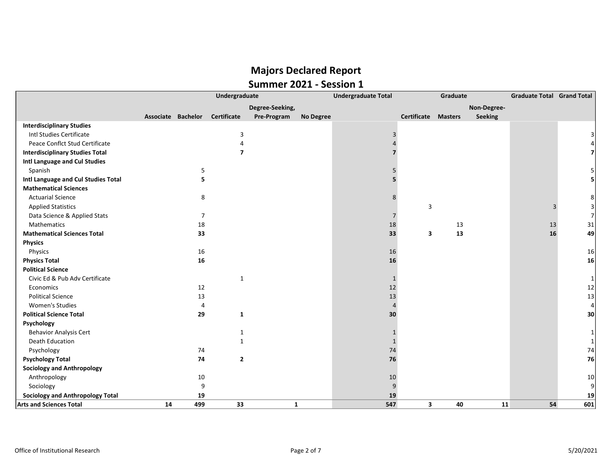### Majors Declared Report Summer 2021 - Session 1

|                                         |                    |                | Undergraduate      |                 |                  | <b>Undergraduate Total</b> |             | Graduate       |                | <b>Graduate Total Grand Total</b> |     |
|-----------------------------------------|--------------------|----------------|--------------------|-----------------|------------------|----------------------------|-------------|----------------|----------------|-----------------------------------|-----|
|                                         |                    |                |                    | Degree-Seeking, |                  |                            |             |                | Non-Degree-    |                                   |     |
|                                         | Associate Bachelor |                | <b>Certificate</b> | Pre-Program     | <b>No Degree</b> |                            | Certificate | <b>Masters</b> | <b>Seeking</b> |                                   |     |
| <b>Interdisciplinary Studies</b>        |                    |                |                    |                 |                  |                            |             |                |                |                                   |     |
| Intl Studies Certificate                |                    |                | 3                  |                 |                  |                            |             |                |                |                                   |     |
| Peace Conflct Stud Certificate          |                    |                |                    |                 |                  |                            |             |                |                |                                   |     |
| <b>Interdisciplinary Studies Total</b>  |                    |                | $\overline{7}$     |                 |                  |                            |             |                |                |                                   |     |
| Intl Language and Cul Studies           |                    |                |                    |                 |                  |                            |             |                |                |                                   |     |
| Spanish                                 |                    | 5              |                    |                 |                  |                            |             |                |                |                                   |     |
| Intl Language and Cul Studies Total     |                    | 5              |                    |                 |                  |                            |             |                |                |                                   |     |
| <b>Mathematical Sciences</b>            |                    |                |                    |                 |                  |                            |             |                |                |                                   |     |
| <b>Actuarial Science</b>                |                    | 8              |                    |                 |                  |                            |             |                |                |                                   |     |
| <b>Applied Statistics</b>               |                    |                |                    |                 |                  |                            | 3           |                |                | 3                                 |     |
| Data Science & Applied Stats            |                    | 7              |                    |                 |                  | 7                          |             |                |                |                                   |     |
| Mathematics                             |                    | 18             |                    |                 |                  | 18                         |             | 13             |                | 13                                | 31  |
| <b>Mathematical Sciences Total</b>      |                    | 33             |                    |                 |                  | 33                         | 3           | 13             |                | 16                                | 49  |
| <b>Physics</b>                          |                    |                |                    |                 |                  |                            |             |                |                |                                   |     |
| Physics                                 |                    | 16             |                    |                 |                  | 16                         |             |                |                |                                   | 16  |
| <b>Physics Total</b>                    |                    | 16             |                    |                 |                  | 16                         |             |                |                |                                   | 16  |
| <b>Political Science</b>                |                    |                |                    |                 |                  |                            |             |                |                |                                   |     |
| Civic Ed & Pub Adv Certificate          |                    |                | $\mathbf{1}$       |                 |                  | $\mathbf{1}$               |             |                |                |                                   |     |
| Economics                               |                    | 12             |                    |                 |                  | 12                         |             |                |                |                                   | 12  |
| <b>Political Science</b>                |                    | 13             |                    |                 |                  | 13                         |             |                |                |                                   | 13  |
| <b>Women's Studies</b>                  |                    | $\overline{4}$ |                    |                 |                  | $\overline{4}$             |             |                |                |                                   | 4   |
| <b>Political Science Total</b>          |                    | 29             | 1                  |                 |                  | 30                         |             |                |                |                                   | 30  |
| Psychology                              |                    |                |                    |                 |                  |                            |             |                |                |                                   |     |
| <b>Behavior Analysis Cert</b>           |                    |                | -1                 |                 |                  | $\mathbf{1}$               |             |                |                |                                   |     |
| Death Education                         |                    |                | 1                  |                 |                  | $\mathbf{1}$               |             |                |                |                                   |     |
| Psychology                              |                    | 74             |                    |                 |                  | 74                         |             |                |                |                                   | 74  |
| <b>Psychology Total</b>                 |                    | 74             | $\overline{2}$     |                 |                  | 76                         |             |                |                |                                   | 76  |
| <b>Sociology and Anthropology</b>       |                    |                |                    |                 |                  |                            |             |                |                |                                   |     |
| Anthropology                            |                    | 10             |                    |                 |                  | 10                         |             |                |                |                                   | 10  |
| Sociology                               |                    | 9              |                    |                 |                  | 9                          |             |                |                |                                   | q   |
| <b>Sociology and Anthropology Total</b> |                    | 19             |                    |                 |                  | 19                         |             |                |                |                                   | 19  |
| <b>Arts and Sciences Total</b>          | 14                 | 499            | 33                 | $\mathbf{1}$    |                  | 547                        | 3           | 40             | 11             | 54                                | 601 |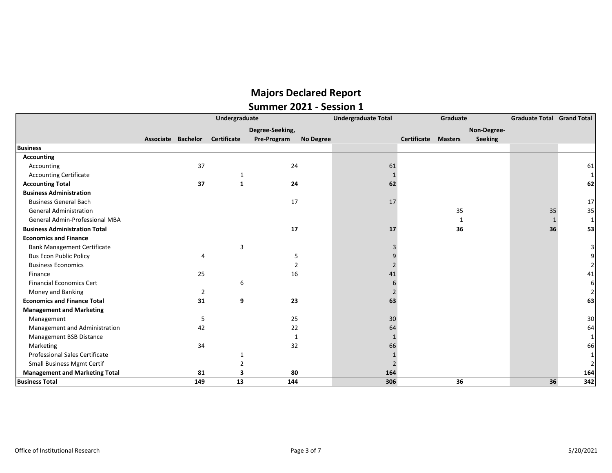## Majors Declared Report Summer 2021 - Session 1

|                                       | Undergraduate      |     |                    |                 |           | <b>Undergraduate Total</b> | Graduate                   |    |                | <b>Graduate Total Grand Total</b> |     |
|---------------------------------------|--------------------|-----|--------------------|-----------------|-----------|----------------------------|----------------------------|----|----------------|-----------------------------------|-----|
|                                       |                    |     |                    | Degree-Seeking, |           |                            |                            |    | Non-Degree-    |                                   |     |
|                                       | Associate Bachelor |     | <b>Certificate</b> | Pre-Program     | No Degree |                            | <b>Certificate Masters</b> |    | <b>Seeking</b> |                                   |     |
| <b>Business</b>                       |                    |     |                    |                 |           |                            |                            |    |                |                                   |     |
| <b>Accounting</b>                     |                    |     |                    |                 |           |                            |                            |    |                |                                   |     |
| Accounting                            |                    | 37  |                    | 24              |           | 61                         |                            |    |                |                                   | 61  |
| <b>Accounting Certificate</b>         |                    |     |                    |                 |           |                            |                            |    |                |                                   |     |
| <b>Accounting Total</b>               |                    | 37  | 1                  | 24              |           | 62                         |                            |    |                |                                   | 62  |
| <b>Business Administration</b>        |                    |     |                    |                 |           |                            |                            |    |                |                                   |     |
| <b>Business General Bach</b>          |                    |     |                    | 17              |           | 17                         |                            |    |                |                                   | 17  |
| <b>General Administration</b>         |                    |     |                    |                 |           |                            |                            | 35 |                | 35                                | 35  |
| General Admin-Professional MBA        |                    |     |                    |                 |           |                            |                            |    |                |                                   |     |
| <b>Business Administration Total</b>  |                    |     |                    | 17              |           | 17                         |                            | 36 |                | 36                                | 53  |
| <b>Economics and Finance</b>          |                    |     |                    |                 |           |                            |                            |    |                |                                   |     |
| <b>Bank Management Certificate</b>    |                    |     | 3                  |                 |           |                            |                            |    |                |                                   |     |
| <b>Bus Econ Public Policy</b>         |                    |     |                    |                 |           |                            |                            |    |                |                                   |     |
| <b>Business Economics</b>             |                    |     |                    | $\mathcal{P}$   |           |                            |                            |    |                |                                   |     |
| Finance                               |                    | 25  |                    | 16              |           | 41                         |                            |    |                |                                   | 41  |
| <b>Financial Economics Cert</b>       |                    |     | 6                  |                 |           | 6                          |                            |    |                |                                   |     |
| Money and Banking                     |                    | 2   |                    |                 |           |                            |                            |    |                |                                   |     |
| <b>Economics and Finance Total</b>    |                    | 31  | 9                  | 23              |           | 63                         |                            |    |                |                                   | 63  |
| <b>Management and Marketing</b>       |                    |     |                    |                 |           |                            |                            |    |                |                                   |     |
| Management                            |                    | 5   |                    | 25              |           | 30                         |                            |    |                |                                   | 30  |
| Management and Administration         |                    | 42  |                    | 22              |           | 64                         |                            |    |                |                                   | 64  |
| Management BSB Distance               |                    |     |                    | 1               |           |                            |                            |    |                |                                   |     |
| Marketing                             |                    | 34  |                    | 32              |           | 66                         |                            |    |                |                                   | 66  |
| Professional Sales Certificate        |                    |     |                    |                 |           |                            |                            |    |                |                                   |     |
| <b>Small Business Mgmt Certif</b>     |                    |     |                    |                 |           |                            |                            |    |                |                                   |     |
| <b>Management and Marketing Total</b> |                    | 81  | 3                  | 80              |           | 164                        |                            |    |                |                                   | 164 |
| <b>Business Total</b>                 |                    | 149 | 13                 | 144             |           | 306                        |                            | 36 |                | 36                                | 342 |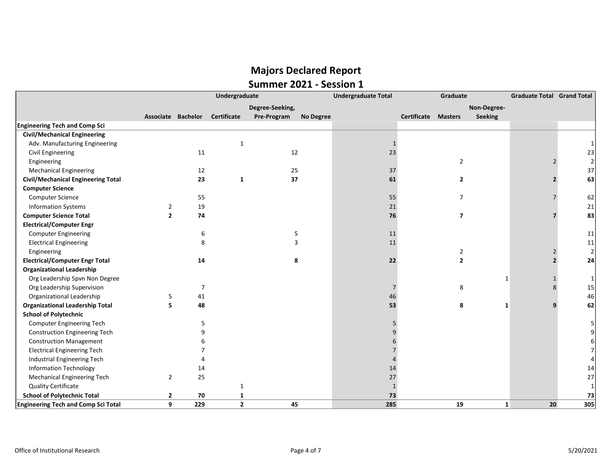### Majors Declared Report Summer 2021 - Session 1

|                                            | Undergraduate      |                |                    |                 |                  | <b>Undergraduate Total</b> | Graduate    |                |              | <b>Graduate Total Grand Total</b> |     |
|--------------------------------------------|--------------------|----------------|--------------------|-----------------|------------------|----------------------------|-------------|----------------|--------------|-----------------------------------|-----|
|                                            |                    |                |                    | Degree-Seeking, |                  |                            |             |                | Non-Degree-  |                                   |     |
|                                            | Associate Bachelor |                | <b>Certificate</b> | Pre-Program     | <b>No Degree</b> |                            | Certificate | <b>Masters</b> | Seeking      |                                   |     |
| <b>Engineering Tech and Comp Sci</b>       |                    |                |                    |                 |                  |                            |             |                |              |                                   |     |
| <b>Civil/Mechanical Engineering</b>        |                    |                |                    |                 |                  |                            |             |                |              |                                   |     |
| Adv. Manufacturing Engineering             |                    |                | $\mathbf{1}$       |                 |                  |                            |             |                |              |                                   |     |
| <b>Civil Engineering</b>                   |                    | 11             |                    | 12              |                  | 23                         |             |                |              |                                   | 23  |
| Engineering                                |                    |                |                    |                 |                  |                            |             | $\overline{2}$ |              |                                   |     |
| <b>Mechanical Engineering</b>              |                    | 12             |                    | 25              |                  | 37                         |             |                |              |                                   | 37  |
| <b>Civil/Mechanical Engineering Total</b>  |                    | 23             | $\mathbf{1}$       | 37              |                  | 61                         |             | $\overline{2}$ |              |                                   | 63  |
| <b>Computer Science</b>                    |                    |                |                    |                 |                  |                            |             |                |              |                                   |     |
| <b>Computer Science</b>                    |                    | 55             |                    |                 |                  | 55                         |             | 7              |              |                                   | 62  |
| <b>Information Systems</b>                 | 2                  | 19             |                    |                 |                  | 21                         |             |                |              |                                   | 21  |
| <b>Computer Science Total</b>              | $\overline{2}$     | 74             |                    |                 |                  | 76                         |             | $\overline{7}$ |              |                                   | 83  |
| <b>Electrical/Computer Engr</b>            |                    |                |                    |                 |                  |                            |             |                |              |                                   |     |
| <b>Computer Engineering</b>                |                    | 6              |                    |                 |                  | 11                         |             |                |              |                                   | 11  |
| <b>Electrical Engineering</b>              |                    | 8              |                    | 3               |                  | 11                         |             |                |              |                                   | 11  |
| Engineering                                |                    |                |                    |                 |                  |                            |             | 2              |              |                                   |     |
| <b>Electrical/Computer Engr Total</b>      |                    | 14             |                    | 8               |                  | 22                         |             | $\overline{2}$ |              |                                   | 24  |
| <b>Organizational Leadership</b>           |                    |                |                    |                 |                  |                            |             |                |              |                                   |     |
| Org Leadership Spvn Non Degree             |                    |                |                    |                 |                  |                            |             |                |              |                                   |     |
| Org Leadership Supervision                 |                    | $\overline{7}$ |                    |                 |                  |                            |             | 8              |              | 8                                 | 15  |
| Organizational Leadership                  | 5                  | 41             |                    |                 |                  | 46                         |             |                |              |                                   | 46  |
| <b>Organizational Leadership Total</b>     | 5                  | 48             |                    |                 |                  | 53                         |             | 8              | 1            | 9                                 | 62  |
| <b>School of Polytechnic</b>               |                    |                |                    |                 |                  |                            |             |                |              |                                   |     |
| Computer Engineering Tech                  |                    |                |                    |                 |                  |                            |             |                |              |                                   |     |
| <b>Construction Engineering Tech</b>       |                    |                |                    |                 |                  |                            |             |                |              |                                   |     |
| <b>Construction Management</b>             |                    |                |                    |                 |                  |                            |             |                |              |                                   |     |
| <b>Electrical Engineering Tech</b>         |                    |                |                    |                 |                  |                            |             |                |              |                                   |     |
| Industrial Engineering Tech                |                    |                |                    |                 |                  |                            |             |                |              |                                   |     |
| <b>Information Technology</b>              |                    | 14             |                    |                 |                  | 14                         |             |                |              |                                   | 14  |
| <b>Mechanical Engineering Tech</b>         | $\overline{2}$     | 25             |                    |                 |                  | 27                         |             |                |              |                                   | 27  |
| <b>Quality Certificate</b>                 |                    |                | $\mathbf{1}$       |                 |                  | $\mathbf{1}$               |             |                |              |                                   |     |
| <b>School of Polytechnic Total</b>         | $\overline{2}$     | 70             | 1                  |                 |                  | 73                         |             |                |              |                                   | 73  |
| <b>Engineering Tech and Comp Sci Total</b> | 9                  | 229            | $\mathbf{2}$       | 45              |                  | 285                        |             | 19             | $\mathbf{1}$ | 20                                | 305 |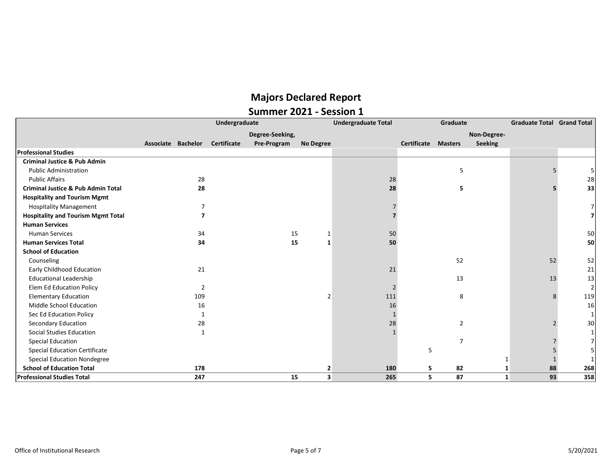|                                               | Undergraduate      |                |                    |                 |                  | <b>Undergraduate Total</b> |                            | Graduate       | <b>Graduate Total Grand Total</b> |    |     |
|-----------------------------------------------|--------------------|----------------|--------------------|-----------------|------------------|----------------------------|----------------------------|----------------|-----------------------------------|----|-----|
|                                               |                    |                |                    | Degree-Seeking, |                  |                            |                            |                | Non-Degree-                       |    |     |
|                                               | Associate Bachelor |                | <b>Certificate</b> | Pre-Program     | <b>No Degree</b> |                            | <b>Certificate Masters</b> |                | <b>Seeking</b>                    |    |     |
| <b>Professional Studies</b>                   |                    |                |                    |                 |                  |                            |                            |                |                                   |    |     |
| <b>Criminal Justice &amp; Pub Admin</b>       |                    |                |                    |                 |                  |                            |                            |                |                                   |    |     |
| <b>Public Administration</b>                  |                    |                |                    |                 |                  |                            |                            | 5              |                                   |    |     |
| <b>Public Affairs</b>                         |                    | 28             |                    |                 |                  | 28                         |                            |                |                                   |    | 28  |
| <b>Criminal Justice &amp; Pub Admin Total</b> |                    | 28             |                    |                 |                  | 28                         |                            | 5              |                                   |    | 33  |
| <b>Hospitality and Tourism Mgmt</b>           |                    |                |                    |                 |                  |                            |                            |                |                                   |    |     |
| <b>Hospitality Management</b>                 |                    |                |                    |                 |                  |                            |                            |                |                                   |    |     |
| <b>Hospitality and Tourism Mgmt Total</b>     |                    |                |                    |                 |                  |                            |                            |                |                                   |    |     |
| <b>Human Services</b>                         |                    |                |                    |                 |                  |                            |                            |                |                                   |    |     |
| <b>Human Services</b>                         |                    | 34             |                    | 15              |                  | 50                         |                            |                |                                   |    | 50  |
| <b>Human Services Total</b>                   |                    | 34             |                    | 15              | $\mathbf{1}$     | 50                         |                            |                |                                   |    | 50  |
| <b>School of Education</b>                    |                    |                |                    |                 |                  |                            |                            |                |                                   |    |     |
| Counseling                                    |                    |                |                    |                 |                  |                            |                            | 52             |                                   | 52 | 52  |
| Early Childhood Education                     |                    | 21             |                    |                 |                  | 21                         |                            |                |                                   |    | 21  |
| <b>Educational Leadership</b>                 |                    |                |                    |                 |                  |                            |                            | 13             |                                   | 13 | 13  |
| Elem Ed Education Policy                      |                    | $\overline{2}$ |                    |                 |                  |                            |                            |                |                                   |    |     |
| <b>Elementary Education</b>                   |                    | 109            |                    |                 | $\mathcal{P}$    | 111                        |                            | 8              |                                   | 8  | 119 |
| Middle School Education                       |                    | 16             |                    |                 |                  | 16                         |                            |                |                                   |    | 16  |
| Sec Ed Education Policy                       |                    |                |                    |                 |                  |                            |                            |                |                                   |    |     |
| Secondary Education                           |                    | 28             |                    |                 |                  | 28                         |                            | $\overline{2}$ |                                   |    | 30  |
| <b>Social Studies Education</b>               |                    |                |                    |                 |                  |                            |                            |                |                                   |    |     |
| <b>Special Education</b>                      |                    |                |                    |                 |                  |                            |                            | 7              |                                   |    |     |
| <b>Special Education Certificate</b>          |                    |                |                    |                 |                  |                            | 5                          |                |                                   |    |     |
| <b>Special Education Nondegree</b>            |                    |                |                    |                 |                  |                            |                            |                |                                   |    |     |
| <b>School of Education Total</b>              |                    | 178            |                    |                 | 2                | 180                        | 5                          | 82             |                                   | 88 | 268 |
| <b>Professional Studies Total</b>             |                    | 247            |                    | 15              | 3                | 265                        | 5                          | 87             | $\mathbf{1}$                      | 93 | 358 |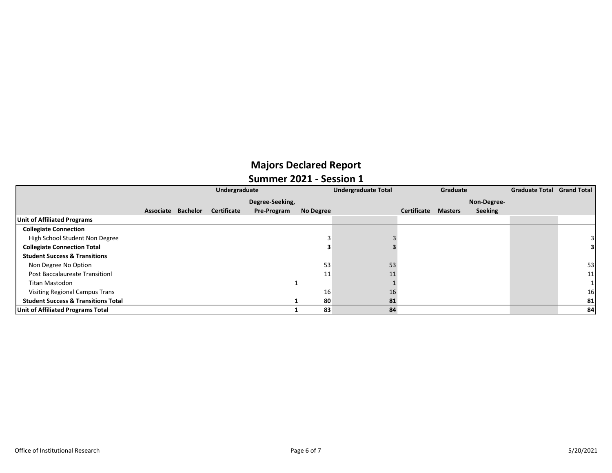|                                                | Undergraduate      |  |             |                 |                  | <b>Undergraduate Total</b> |             | Graduate       |                | Graduate Total Grand Total |    |
|------------------------------------------------|--------------------|--|-------------|-----------------|------------------|----------------------------|-------------|----------------|----------------|----------------------------|----|
|                                                |                    |  |             | Degree-Seeking, |                  |                            |             |                | Non-Degree-    |                            |    |
|                                                | Associate Bachelor |  | Certificate | Pre-Program     | <b>No Degree</b> |                            | Certificate | <b>Masters</b> | <b>Seeking</b> |                            |    |
| Unit of Affiliated Programs                    |                    |  |             |                 |                  |                            |             |                |                |                            |    |
| <b>Collegiate Connection</b>                   |                    |  |             |                 |                  |                            |             |                |                |                            |    |
| High School Student Non Degree                 |                    |  |             |                 |                  |                            |             |                |                |                            |    |
| <b>Collegiate Connection Total</b>             |                    |  |             |                 |                  |                            |             |                |                |                            |    |
| <b>Student Success &amp; Transitions</b>       |                    |  |             |                 |                  |                            |             |                |                |                            |    |
| Non Degree No Option                           |                    |  |             |                 | 53               | 53                         |             |                |                |                            | 53 |
| <b>Post Baccalaureate Transitionl</b>          |                    |  |             |                 | 11               | 11                         |             |                |                |                            | 11 |
| Titan Mastodon                                 |                    |  |             |                 |                  |                            |             |                |                |                            |    |
| <b>Visiting Regional Campus Trans</b>          |                    |  |             |                 | 16               | 16                         |             |                |                |                            | 16 |
| <b>Student Success &amp; Transitions Total</b> |                    |  |             |                 | 80               | 81                         |             |                |                |                            | 81 |
| Unit of Affiliated Programs Total              |                    |  |             |                 | 83               | 84                         |             |                |                |                            | 84 |